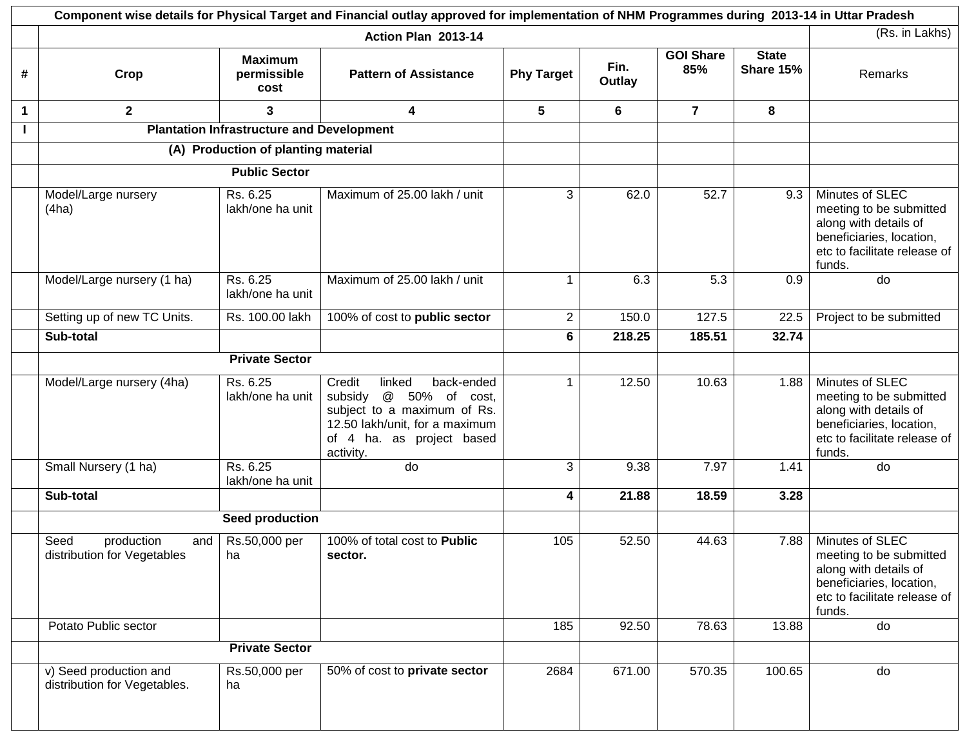|   |                                                          |                                                  | Component wise details for Physical Target and Financial outlay approved for implementation of NHM Programmes during 2013-14 in Uttar Pradesh                          |                   |                |                         |                           |                                                                                                                                           |
|---|----------------------------------------------------------|--------------------------------------------------|------------------------------------------------------------------------------------------------------------------------------------------------------------------------|-------------------|----------------|-------------------------|---------------------------|-------------------------------------------------------------------------------------------------------------------------------------------|
|   |                                                          |                                                  | Action Plan 2013-14                                                                                                                                                    |                   |                |                         |                           | (Rs. in Lakhs)                                                                                                                            |
| # | Crop                                                     | <b>Maximum</b><br>permissible<br>cost            | <b>Pattern of Assistance</b>                                                                                                                                           | <b>Phy Target</b> | Fin.<br>Outlay | <b>GOI Share</b><br>85% | <b>State</b><br>Share 15% | Remarks                                                                                                                                   |
| 1 | $\mathbf{2}$                                             | 3                                                | 4                                                                                                                                                                      | 5                 | 6              | $\overline{7}$          | 8                         |                                                                                                                                           |
|   |                                                          | <b>Plantation Infrastructure and Development</b> |                                                                                                                                                                        |                   |                |                         |                           |                                                                                                                                           |
|   |                                                          | (A) Production of planting material              |                                                                                                                                                                        |                   |                |                         |                           |                                                                                                                                           |
|   |                                                          | <b>Public Sector</b>                             |                                                                                                                                                                        |                   |                |                         |                           |                                                                                                                                           |
|   | Model/Large nursery<br>(4ha)                             | Rs. 6.25<br>lakh/one ha unit                     | Maximum of 25.00 lakh / unit                                                                                                                                           | 3                 | 62.0           | 52.7                    | 9.3                       | Minutes of SLEC<br>meeting to be submitted<br>along with details of<br>beneficiaries, location,<br>etc to facilitate release of<br>funds. |
|   | Model/Large nursery (1 ha)                               | Rs. 6.25<br>lakh/one ha unit                     | Maximum of 25.00 lakh / unit                                                                                                                                           |                   | 6.3            | 5.3                     | 0.9                       | do                                                                                                                                        |
|   | Setting up of new TC Units.                              | Rs. 100.00 lakh                                  | 100% of cost to public sector                                                                                                                                          | $2^{\circ}$       | 150.0          | 127.5                   | 22.5                      | Project to be submitted                                                                                                                   |
|   | Sub-total                                                |                                                  |                                                                                                                                                                        | 6                 | 218.25         | 185.51                  | 32.74                     |                                                                                                                                           |
|   |                                                          | <b>Private Sector</b>                            |                                                                                                                                                                        |                   |                |                         |                           |                                                                                                                                           |
|   | Model/Large nursery (4ha)                                | Rs. 6.25<br>lakh/one ha unit                     | back-ended<br>Credit<br>linked<br>@ 50% of cost,<br>subsidy<br>subject to a maximum of Rs.<br>12.50 lakh/unit, for a maximum<br>of 4 ha. as project based<br>activity. |                   | 12.50          | 10.63                   | 1.88                      | Minutes of SLEC<br>meeting to be submitted<br>along with details of<br>beneficiaries, location,<br>etc to facilitate release of<br>funds. |
|   | Small Nursery (1 ha)                                     | Rs. 6.25<br>lakh/one ha unit                     | do                                                                                                                                                                     | 3                 | 9.38           | 7.97                    | 1.41                      | do                                                                                                                                        |
|   | Sub-total                                                |                                                  |                                                                                                                                                                        | 4                 | 21.88          | 18.59                   | 3.28                      |                                                                                                                                           |
|   |                                                          | Seed production                                  |                                                                                                                                                                        |                   |                |                         |                           |                                                                                                                                           |
|   | Seed<br>production<br>and<br>distribution for Vegetables | Rs.50,000 per<br>ha                              | 100% of total cost to Public<br>sector.                                                                                                                                | 105               | 52.50          | 44.63                   | 7.88                      | Minutes of SLEC<br>meeting to be submitted<br>along with details of<br>beneficiaries, location,<br>etc to facilitate release of<br>funds. |
|   | Potato Public sector                                     |                                                  |                                                                                                                                                                        | 185               | 92.50          | 78.63                   | 13.88                     | do                                                                                                                                        |
|   | <b>Private Sector</b>                                    |                                                  |                                                                                                                                                                        |                   |                |                         |                           |                                                                                                                                           |
|   | v) Seed production and<br>distribution for Vegetables.   | Rs.50,000 per<br>ha                              | 50% of cost to private sector                                                                                                                                          | 2684              | 671.00         | 570.35                  | 100.65                    | do                                                                                                                                        |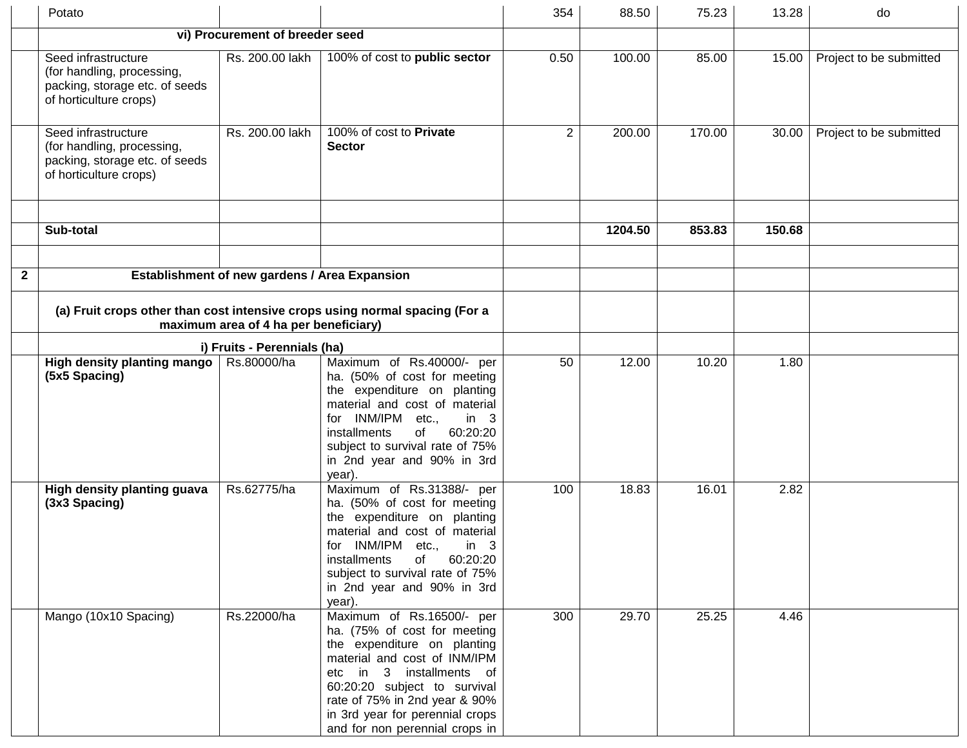|              | Potato                                                                                                        |                                               |                                                                                                                                                                                                                                                                                            | 354            | 88.50   | 75.23  | 13.28  | do                      |
|--------------|---------------------------------------------------------------------------------------------------------------|-----------------------------------------------|--------------------------------------------------------------------------------------------------------------------------------------------------------------------------------------------------------------------------------------------------------------------------------------------|----------------|---------|--------|--------|-------------------------|
|              |                                                                                                               | vi) Procurement of breeder seed               |                                                                                                                                                                                                                                                                                            |                |         |        |        |                         |
|              | Seed infrastructure<br>(for handling, processing,<br>packing, storage etc. of seeds<br>of horticulture crops) | Rs. 200.00 lakh                               | 100% of cost to public sector                                                                                                                                                                                                                                                              | 0.50           | 100.00  | 85.00  | 15.00  | Project to be submitted |
|              | Seed infrastructure<br>(for handling, processing,<br>packing, storage etc. of seeds<br>of horticulture crops) | Rs. 200.00 lakh                               | 100% of cost to Private<br><b>Sector</b>                                                                                                                                                                                                                                                   | $\overline{2}$ | 200.00  | 170.00 | 30.00  | Project to be submitted |
|              |                                                                                                               |                                               |                                                                                                                                                                                                                                                                                            |                |         |        |        |                         |
|              | Sub-total                                                                                                     |                                               |                                                                                                                                                                                                                                                                                            |                | 1204.50 | 853.83 | 150.68 |                         |
|              |                                                                                                               |                                               |                                                                                                                                                                                                                                                                                            |                |         |        |        |                         |
| $\mathbf{2}$ |                                                                                                               | Establishment of new gardens / Area Expansion |                                                                                                                                                                                                                                                                                            |                |         |        |        |                         |
|              |                                                                                                               | maximum area of 4 ha per beneficiary)         | (a) Fruit crops other than cost intensive crops using normal spacing (For a                                                                                                                                                                                                                |                |         |        |        |                         |
|              | i) Fruits - Perennials (ha)                                                                                   |                                               |                                                                                                                                                                                                                                                                                            |                |         |        |        |                         |
|              | High density planting mango<br>(5x5 Spacing)                                                                  | Rs.80000/ha                                   | Maximum of Rs.40000/- per<br>ha. (50% of cost for meeting<br>the expenditure on planting<br>material and cost of material<br>INM/IPM etc.,<br>in 3<br>for<br>60:20:20<br>of<br>installments<br>subject to survival rate of 75%<br>in 2nd year and 90% in 3rd<br>year).                     | 50             | 12.00   | 10.20  | 1.80   |                         |
|              | High density planting guava<br>(3x3 Spacing)                                                                  | Rs.62775/ha                                   | Maximum of Rs.31388/- per<br>ha. (50% of cost for meeting<br>the expenditure on planting<br>material and cost of material<br>INM/IPM etc.,<br>in 3<br>tor⊹<br>installments<br>60:20:20<br>of<br>subject to survival rate of 75%<br>in 2nd year and 90% in 3rd<br>year).                    | 100            | 18.83   | 16.01  | 2.82   |                         |
|              | Mango (10x10 Spacing)                                                                                         | Rs.22000/ha                                   | Maximum of Rs.16500/- per<br>ha. (75% of cost for meeting<br>the expenditure on planting<br>material and cost of INM/IPM<br>etc in 3 installments of<br>60:20:20 subject to survival<br>rate of 75% in 2nd year & 90%<br>in 3rd year for perennial crops<br>and for non perennial crops in | 300            | 29.70   | 25.25  | 4.46   |                         |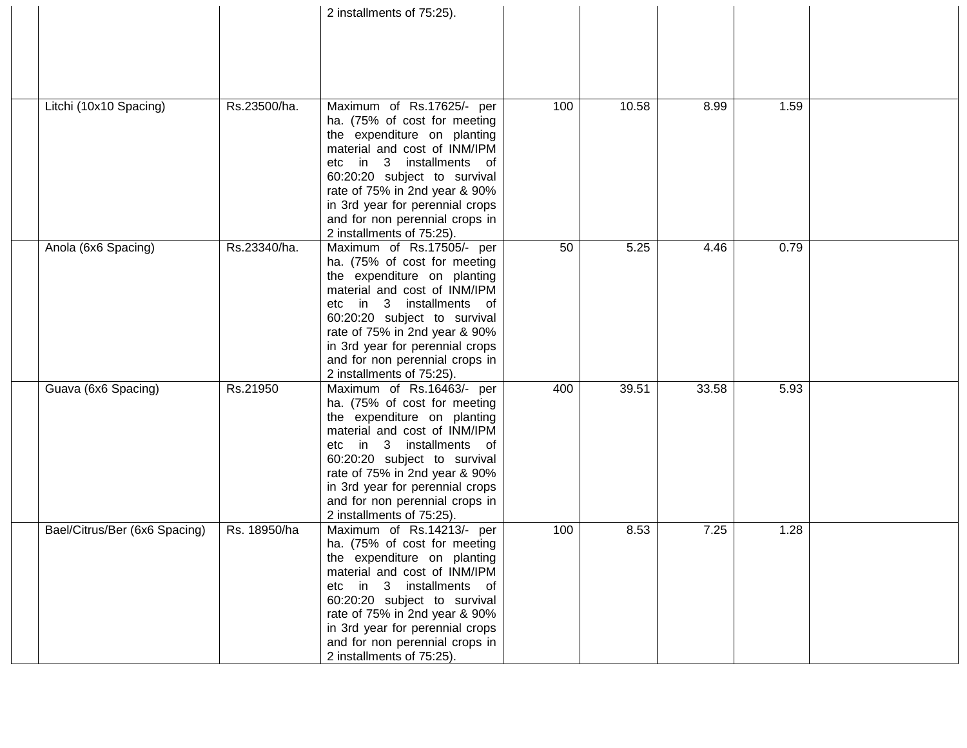|                               |              | 2 installments of 75:25).                                        |     |       |       |      |  |
|-------------------------------|--------------|------------------------------------------------------------------|-----|-------|-------|------|--|
|                               |              |                                                                  |     |       |       |      |  |
|                               |              |                                                                  |     |       |       |      |  |
|                               |              |                                                                  |     |       |       |      |  |
|                               |              |                                                                  |     |       |       |      |  |
|                               |              |                                                                  |     |       |       |      |  |
| Litchi (10x10 Spacing)        | Rs.23500/ha. | Maximum of Rs.17625/- per                                        | 100 | 10.58 | 8.99  | 1.59 |  |
|                               |              | ha. (75% of cost for meeting<br>the expenditure on planting      |     |       |       |      |  |
|                               |              | material and cost of INM/IPM                                     |     |       |       |      |  |
|                               |              | in 3 installments of<br>etc                                      |     |       |       |      |  |
|                               |              | 60:20:20 subject to survival                                     |     |       |       |      |  |
|                               |              | rate of 75% in 2nd year & 90%                                    |     |       |       |      |  |
|                               |              | in 3rd year for perennial crops                                  |     |       |       |      |  |
|                               |              | and for non perennial crops in                                   |     |       |       |      |  |
|                               |              | 2 installments of 75:25).                                        |     |       |       |      |  |
| Anola (6x6 Spacing)           | Rs.23340/ha. | Maximum of Rs.17505/- per<br>ha. (75% of cost for meeting        | 50  | 5.25  | 4.46  | 0.79 |  |
|                               |              | the expenditure on planting                                      |     |       |       |      |  |
|                               |              | material and cost of INM/IPM                                     |     |       |       |      |  |
|                               |              | in 3 installments of<br>etc                                      |     |       |       |      |  |
|                               |              | 60:20:20 subject to survival                                     |     |       |       |      |  |
|                               |              | rate of 75% in 2nd year & 90%                                    |     |       |       |      |  |
|                               |              | in 3rd year for perennial crops                                  |     |       |       |      |  |
|                               |              | and for non perennial crops in                                   |     |       |       |      |  |
| Guava (6x6 Spacing)           | Rs.21950     | 2 installments of 75:25).<br>Maximum of Rs.16463/- per           | 400 | 39.51 | 33.58 | 5.93 |  |
|                               |              | ha. (75% of cost for meeting                                     |     |       |       |      |  |
|                               |              | the expenditure on planting                                      |     |       |       |      |  |
|                               |              | material and cost of INM/IPM                                     |     |       |       |      |  |
|                               |              | in 3 installments of<br>etc                                      |     |       |       |      |  |
|                               |              | 60:20:20 subject to survival                                     |     |       |       |      |  |
|                               |              | rate of 75% in 2nd year & 90%                                    |     |       |       |      |  |
|                               |              | in 3rd year for perennial crops                                  |     |       |       |      |  |
|                               |              | and for non perennial crops in<br>2 installments of 75:25).      |     |       |       |      |  |
| Bael/Citrus/Ber (6x6 Spacing) | Rs. 18950/ha | Maximum of Rs.14213/- per                                        | 100 | 8.53  | 7.25  | 1.28 |  |
|                               |              | ha. (75% of cost for meeting                                     |     |       |       |      |  |
|                               |              | the expenditure on planting                                      |     |       |       |      |  |
|                               |              | material and cost of INM/IPM                                     |     |       |       |      |  |
|                               |              | etc in 3 installments of                                         |     |       |       |      |  |
|                               |              | 60:20:20 subject to survival                                     |     |       |       |      |  |
|                               |              | rate of 75% in 2nd year & 90%<br>in 3rd year for perennial crops |     |       |       |      |  |
|                               |              | and for non perennial crops in                                   |     |       |       |      |  |
|                               |              | 2 installments of 75:25).                                        |     |       |       |      |  |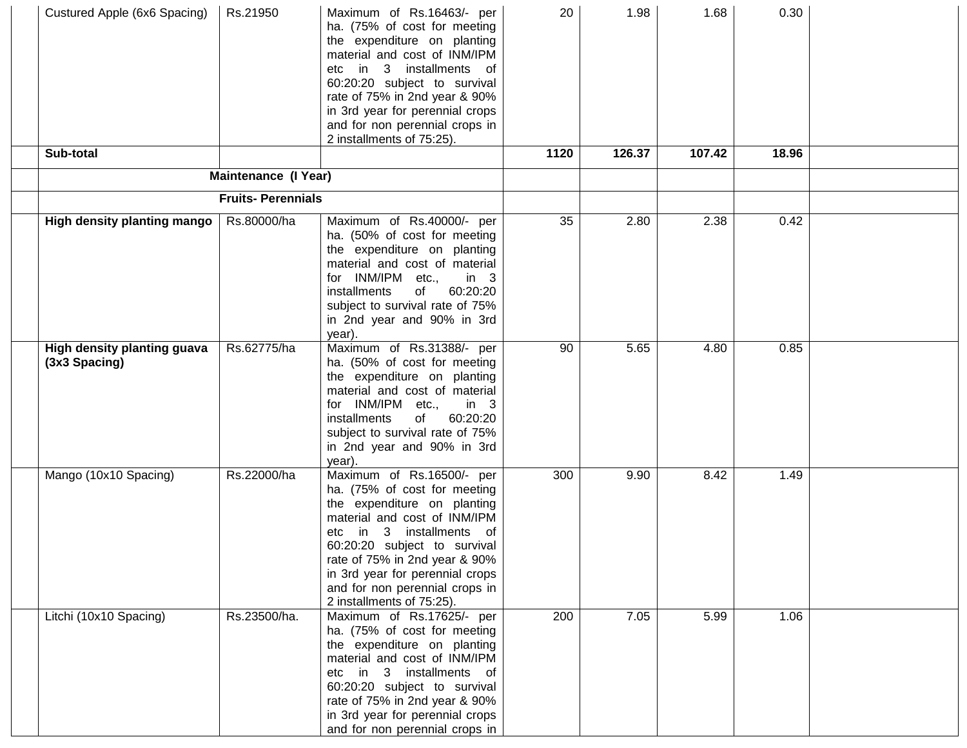| Custured Apple (6x6 Spacing)                 | Rs.21950                 | Maximum of Rs.16463/- per<br>ha. (75% of cost for meeting<br>the expenditure on planting<br>material and cost of INM/IPM<br>in 3 installments of<br>etc<br>60:20:20 subject to survival<br>rate of 75% in 2nd year & 90%<br>in 3rd year for perennial crops<br>and for non perennial crops in<br>2 installments of 75:25).    | 20   | 1.98   | 1.68   | 0.30  |  |
|----------------------------------------------|--------------------------|-------------------------------------------------------------------------------------------------------------------------------------------------------------------------------------------------------------------------------------------------------------------------------------------------------------------------------|------|--------|--------|-------|--|
| Sub-total                                    |                          |                                                                                                                                                                                                                                                                                                                               | 1120 | 126.37 | 107.42 | 18.96 |  |
|                                              | Maintenance (I Year)     |                                                                                                                                                                                                                                                                                                                               |      |        |        |       |  |
|                                              | <b>Fruits-Perennials</b> |                                                                                                                                                                                                                                                                                                                               |      |        |        |       |  |
| High density planting mango                  | Rs.80000/ha              | Maximum of Rs.40000/- per<br>ha. (50% of cost for meeting<br>the expenditure on planting<br>material and cost of material<br>for INM/IPM etc.,<br>in $3$<br>60:20:20<br>of<br>installments<br>subject to survival rate of 75%<br>in 2nd year and 90% in 3rd<br>year).                                                         | 35   | 2.80   | 2.38   | 0.42  |  |
| High density planting guava<br>(3x3 Spacing) | Rs.62775/ha              | Maximum of Rs.31388/- per<br>ha. (50% of cost for meeting<br>the expenditure on planting<br>material and cost of material<br>for INM/IPM etc.,<br>in $3$<br>installments<br>of<br>60:20:20<br>subject to survival rate of 75%<br>in 2nd year and 90% in 3rd<br>year).                                                         | 90   | 5.65   | 4.80   | 0.85  |  |
| Mango (10x10 Spacing)                        | Rs.22000/ha              | Maximum of Rs.16500/- per<br>ha. (75% of cost for meeting<br>the expenditure on planting<br>material and cost of INM/IPM<br>3 installments of<br>in<br>etc<br>60:20:20 subject to survival<br>rate of 75% in 2nd year & 90%<br>in 3rd year for perennial crops<br>and for non perennial crops in<br>2 installments of 75:25). | 300  | 9.90   | 8.42   | 1.49  |  |
| Litchi (10x10 Spacing)                       | Rs.23500/ha.             | Maximum of Rs.17625/- per<br>ha. (75% of cost for meeting<br>the expenditure on planting<br>material and cost of INM/IPM<br>etc in 3 installments of<br>60:20:20 subject to survival<br>rate of 75% in 2nd year & 90%<br>in 3rd year for perennial crops<br>and for non perennial crops in                                    | 200  | 7.05   | 5.99   | 1.06  |  |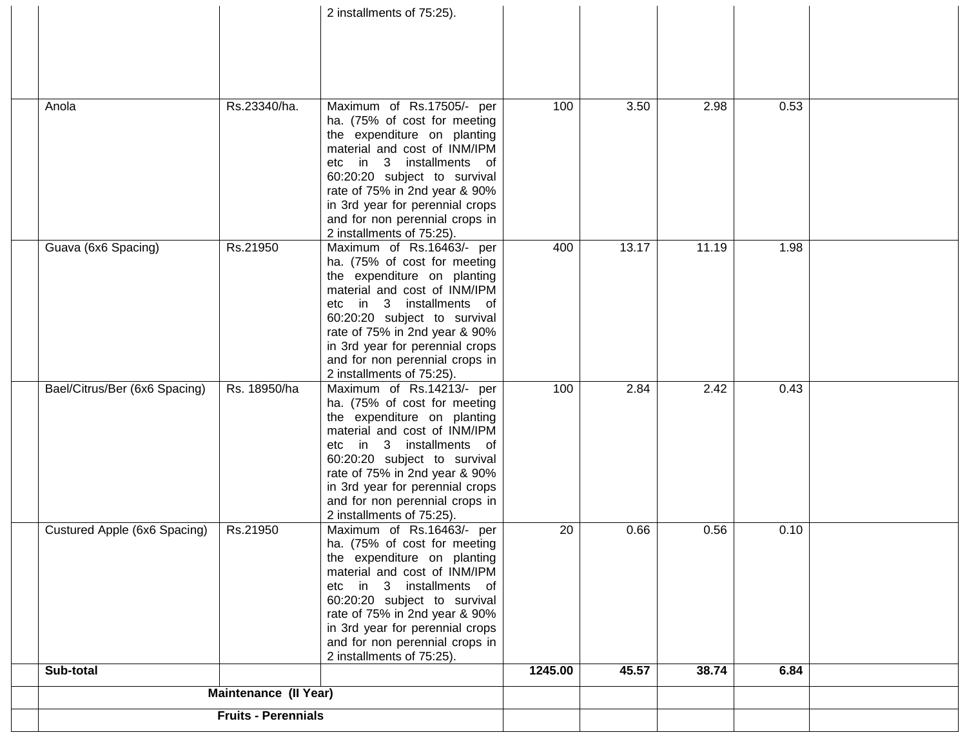|                               |                            | 2 installments of 75:25).                                         |         |       |       |      |  |
|-------------------------------|----------------------------|-------------------------------------------------------------------|---------|-------|-------|------|--|
|                               |                            |                                                                   |         |       |       |      |  |
|                               |                            |                                                                   |         |       |       |      |  |
|                               |                            |                                                                   |         |       |       |      |  |
|                               |                            |                                                                   |         |       |       |      |  |
|                               |                            |                                                                   |         |       |       |      |  |
|                               |                            |                                                                   |         |       |       |      |  |
| Anola                         | Rs.23340/ha.               | Maximum of Rs.17505/- per                                         | 100     | 3.50  | 2.98  | 0.53 |  |
|                               |                            | ha. (75% of cost for meeting                                      |         |       |       |      |  |
|                               |                            | the expenditure on planting                                       |         |       |       |      |  |
|                               |                            | material and cost of INM/IPM                                      |         |       |       |      |  |
|                               |                            | etc in 3 installments<br>of<br>60:20:20 subject to survival       |         |       |       |      |  |
|                               |                            | rate of 75% in 2nd year & 90%                                     |         |       |       |      |  |
|                               |                            |                                                                   |         |       |       |      |  |
|                               |                            | in 3rd year for perennial crops<br>and for non perennial crops in |         |       |       |      |  |
|                               |                            | 2 installments of 75:25).                                         |         |       |       |      |  |
| Guava (6x6 Spacing)           | Rs.21950                   | Maximum of Rs.16463/- per                                         | 400     | 13.17 | 11.19 | 1.98 |  |
|                               |                            | ha. (75% of cost for meeting                                      |         |       |       |      |  |
|                               |                            | the expenditure on planting                                       |         |       |       |      |  |
|                               |                            | material and cost of INM/IPM                                      |         |       |       |      |  |
|                               |                            | in 3 installments of<br>etc                                       |         |       |       |      |  |
|                               |                            | 60:20:20 subject to survival                                      |         |       |       |      |  |
|                               |                            | rate of 75% in 2nd year & 90%                                     |         |       |       |      |  |
|                               |                            | in 3rd year for perennial crops                                   |         |       |       |      |  |
|                               |                            | and for non perennial crops in                                    |         |       |       |      |  |
|                               |                            | 2 installments of 75:25).                                         |         |       |       |      |  |
| Bael/Citrus/Ber (6x6 Spacing) | Rs. 18950/ha               | Maximum of Rs.14213/- per                                         | 100     | 2.84  | 2.42  | 0.43 |  |
|                               |                            | ha. (75% of cost for meeting                                      |         |       |       |      |  |
|                               |                            | the expenditure on planting                                       |         |       |       |      |  |
|                               |                            | material and cost of INM/IPM                                      |         |       |       |      |  |
|                               |                            | etc in 3 installments of                                          |         |       |       |      |  |
|                               |                            | 60:20:20 subject to survival                                      |         |       |       |      |  |
|                               |                            | rate of 75% in 2nd year & 90%                                     |         |       |       |      |  |
|                               |                            | in 3rd year for perennial crops                                   |         |       |       |      |  |
|                               |                            | and for non perennial crops in                                    |         |       |       |      |  |
|                               |                            | 2 installments of 75:25).                                         |         |       |       |      |  |
| Custured Apple (6x6 Spacing)  | Rs.21950                   | Maximum of Rs.16463/- per                                         | 20      | 0.66  | 0.56  | 0.10 |  |
|                               |                            | ha. (75% of cost for meeting                                      |         |       |       |      |  |
|                               |                            | the expenditure on planting                                       |         |       |       |      |  |
|                               |                            | material and cost of INM/IPM                                      |         |       |       |      |  |
|                               |                            | etc in 3 installments of                                          |         |       |       |      |  |
|                               |                            | 60:20:20 subject to survival<br>rate of 75% in 2nd year & 90%     |         |       |       |      |  |
|                               |                            | in 3rd year for perennial crops                                   |         |       |       |      |  |
|                               |                            | and for non perennial crops in                                    |         |       |       |      |  |
|                               |                            | 2 installments of 75:25).                                         |         |       |       |      |  |
| Sub-total                     |                            |                                                                   | 1245.00 | 45.57 | 38.74 | 6.84 |  |
|                               | Maintenance (II Year)      |                                                                   |         |       |       |      |  |
|                               |                            |                                                                   |         |       |       |      |  |
|                               |                            |                                                                   |         |       |       |      |  |
|                               | <b>Fruits - Perennials</b> |                                                                   |         |       |       |      |  |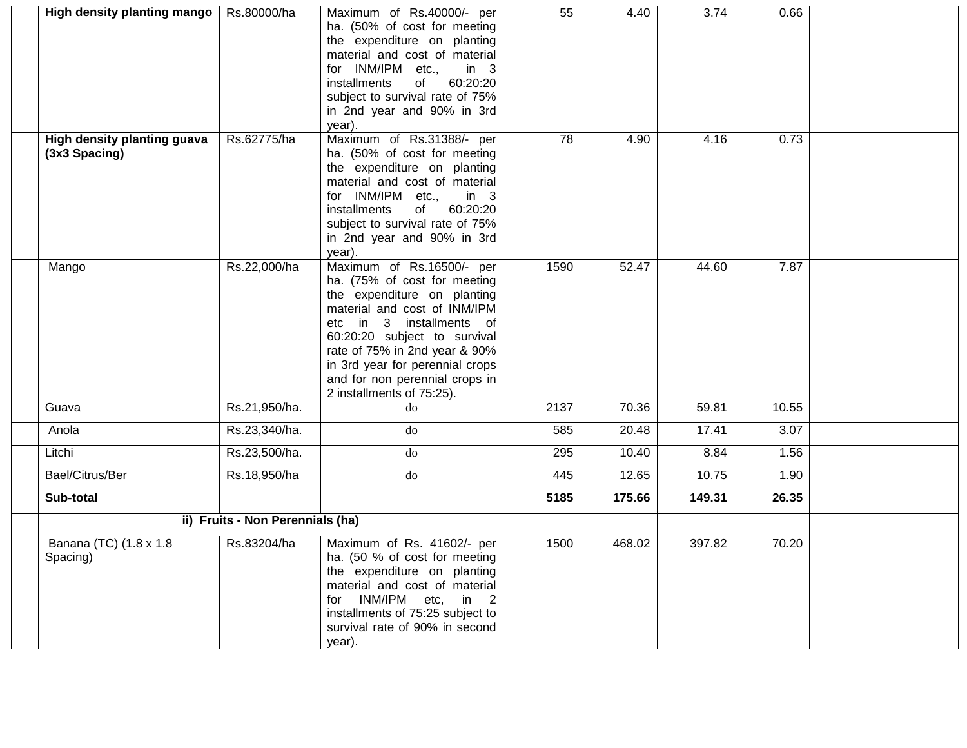| High density planting mango                  | Rs.80000/ha                      | Maximum of Rs.40000/- per<br>ha. (50% of cost for meeting<br>the expenditure on planting<br>material and cost of material<br>for INM/IPM etc.,<br>in $3$<br>60:20:20<br>installments<br>of<br>subject to survival rate of 75%<br>in 2nd year and 90% in 3rd<br>year).                                                           | 55   | 4.40   | 3.74   | 0.66  |  |
|----------------------------------------------|----------------------------------|---------------------------------------------------------------------------------------------------------------------------------------------------------------------------------------------------------------------------------------------------------------------------------------------------------------------------------|------|--------|--------|-------|--|
| High density planting guava<br>(3x3 Spacing) | Rs.62775/ha                      | Maximum of Rs.31388/- per<br>ha. (50% of cost for meeting<br>the expenditure on planting<br>material and cost of material<br>for INM/IPM etc.,<br>in $3$<br>60:20:20<br>installments<br>of<br>subject to survival rate of 75%<br>in 2nd year and 90% in 3rd<br>year).                                                           | 78   | 4.90   | 4.16   | 0.73  |  |
| Mango                                        | Rs.22,000/ha                     | Maximum of Rs.16500/- per<br>ha. (75% of cost for meeting<br>the expenditure on planting<br>material and cost of INM/IPM<br>3 installments of<br>in l<br>etc<br>60:20:20 subject to survival<br>rate of 75% in 2nd year & 90%<br>in 3rd year for perennial crops<br>and for non perennial crops in<br>2 installments of 75:25). | 1590 | 52.47  | 44.60  | 7.87  |  |
| Guava                                        | Rs.21,950/ha.                    | do                                                                                                                                                                                                                                                                                                                              | 2137 | 70.36  | 59.81  | 10.55 |  |
| Anola                                        | Rs.23,340/ha.                    | do                                                                                                                                                                                                                                                                                                                              | 585  | 20.48  | 17.41  | 3.07  |  |
| Litchi                                       | Rs.23,500/ha.                    | do                                                                                                                                                                                                                                                                                                                              | 295  | 10.40  | 8.84   | 1.56  |  |
| Bael/Citrus/Ber                              | Rs.18,950/ha                     | do                                                                                                                                                                                                                                                                                                                              | 445  | 12.65  | 10.75  | 1.90  |  |
| Sub-total                                    |                                  |                                                                                                                                                                                                                                                                                                                                 | 5185 | 175.66 | 149.31 | 26.35 |  |
|                                              | ii) Fruits - Non Perennials (ha) |                                                                                                                                                                                                                                                                                                                                 |      |        |        |       |  |
| Banana (TC) (1.8 x 1.8<br>Spacing)           | Rs.83204/ha                      | Maximum of Rs. 41602/- per<br>ha. (50 % of cost for meeting<br>the expenditure on planting<br>material and cost of material<br>for INM/IPM etc, in 2<br>installments of 75:25 subject to<br>survival rate of 90% in second<br>year).                                                                                            | 1500 | 468.02 | 397.82 | 70.20 |  |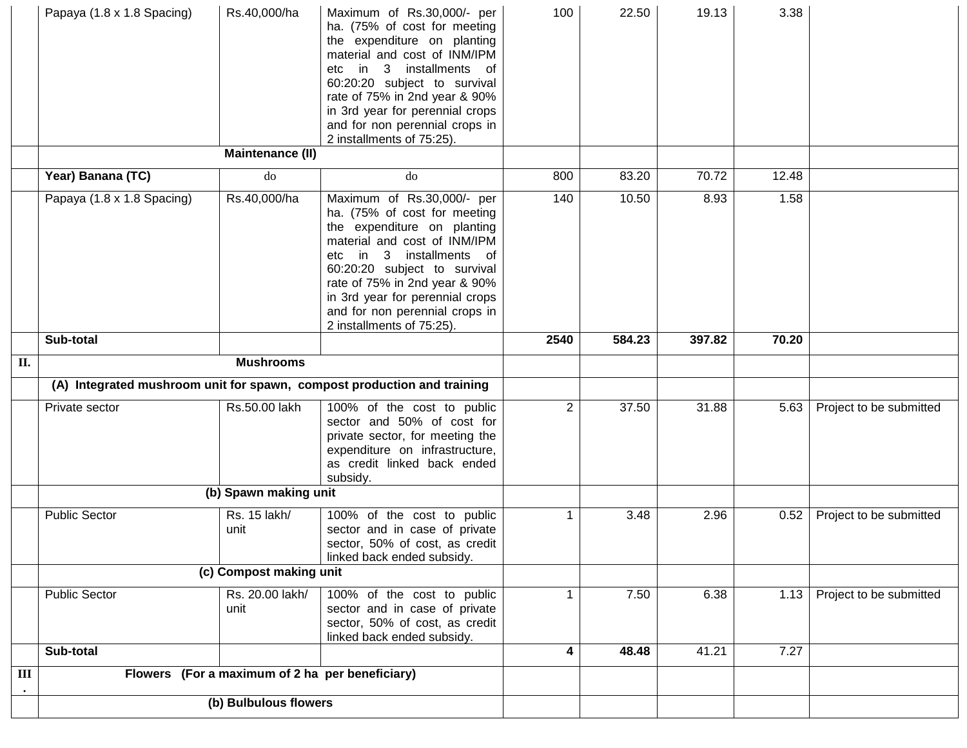|                | Papaya (1.8 x 1.8 Spacing) | Rs.40,000/ha                                    | Maximum of Rs.30,000/- per<br>ha. (75% of cost for meeting<br>the expenditure on planting<br>material and cost of INM/IPM<br>in 3 installments of<br>etc<br>60:20:20 subject to survival<br>rate of 75% in 2nd year & 90%<br>in 3rd year for perennial crops<br>and for non perennial crops in<br>2 installments of 75:25). | 100            | 22.50  | 19.13  | 3.38  |                         |
|----------------|----------------------------|-------------------------------------------------|-----------------------------------------------------------------------------------------------------------------------------------------------------------------------------------------------------------------------------------------------------------------------------------------------------------------------------|----------------|--------|--------|-------|-------------------------|
|                |                            | <b>Maintenance (II)</b>                         |                                                                                                                                                                                                                                                                                                                             |                |        |        |       |                         |
|                | Year) Banana (TC)          | $d\sigma$                                       | do                                                                                                                                                                                                                                                                                                                          | 800            | 83.20  | 70.72  | 12.48 |                         |
|                | Papaya (1.8 x 1.8 Spacing) | Rs.40,000/ha                                    | Maximum of Rs.30,000/- per<br>ha. (75% of cost for meeting<br>the expenditure on planting<br>material and cost of INM/IPM<br>in 3 installments of<br>etc<br>60:20:20 subject to survival<br>rate of 75% in 2nd year & 90%<br>in 3rd year for perennial crops<br>and for non perennial crops in<br>2 installments of 75:25). | 140            | 10.50  | 8.93   | 1.58  |                         |
|                | Sub-total                  |                                                 |                                                                                                                                                                                                                                                                                                                             | 2540           | 584.23 | 397.82 | 70.20 |                         |
| II.            |                            | <b>Mushrooms</b>                                |                                                                                                                                                                                                                                                                                                                             |                |        |        |       |                         |
|                |                            |                                                 | (A) Integrated mushroom unit for spawn, compost production and training                                                                                                                                                                                                                                                     |                |        |        |       |                         |
|                | Private sector             | Rs.50.00 lakh                                   | 100% of the cost to public<br>sector and 50% of cost for<br>private sector, for meeting the<br>expenditure on infrastructure,<br>as credit linked back ended<br>subsidy.                                                                                                                                                    | $\overline{2}$ | 37.50  | 31.88  | 5.63  | Project to be submitted |
|                |                            | (b) Spawn making unit                           |                                                                                                                                                                                                                                                                                                                             |                |        |        |       |                         |
|                | <b>Public Sector</b>       | Rs. 15 lakh/<br>unit                            | 100% of the cost to public<br>sector and in case of private<br>sector, 50% of cost, as credit<br>linked back ended subsidy.                                                                                                                                                                                                 | 1              | 3.48   | 2.96   | 0.52  | Project to be submitted |
|                |                            | (c) Compost making unit                         |                                                                                                                                                                                                                                                                                                                             |                |        |        |       |                         |
|                | <b>Public Sector</b>       | Rs. 20.00 lakh/<br>unit                         | 100% of the cost to public<br>sector and in case of private<br>sector, 50% of cost, as credit<br>linked back ended subsidy.                                                                                                                                                                                                 | 1              | 7.50   | 6.38   | 1.13  | Project to be submitted |
|                | Sub-total                  |                                                 |                                                                                                                                                                                                                                                                                                                             | 4              | 48.48  | 41.21  | 7.27  |                         |
| $\mathbf{III}$ |                            | Flowers (For a maximum of 2 ha per beneficiary) |                                                                                                                                                                                                                                                                                                                             |                |        |        |       |                         |
|                | (b) Bulbulous flowers      |                                                 |                                                                                                                                                                                                                                                                                                                             |                |        |        |       |                         |
|                |                            |                                                 |                                                                                                                                                                                                                                                                                                                             |                |        |        |       |                         |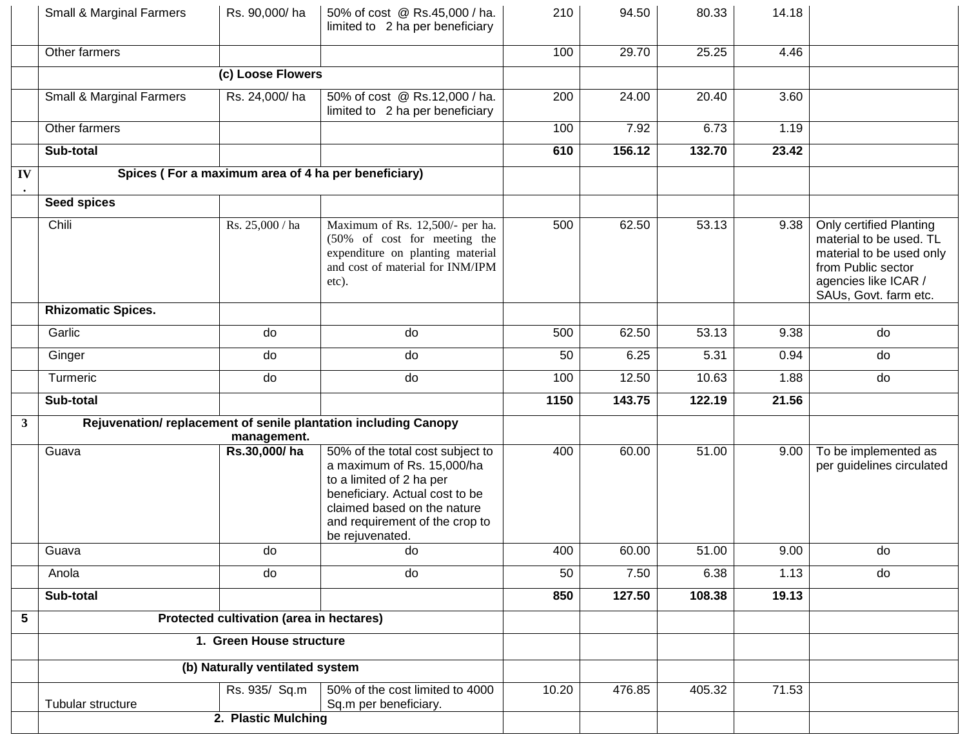|              | Small & Marginal Farmers            | Rs. 90,000/ha                            | 50% of cost @ Rs.45,000 / ha.<br>limited to 2 ha per beneficiary                                                                                                                                                 | 210   | 94.50             | 80.33  | 14.18              |                                                                                                                                                       |
|--------------|-------------------------------------|------------------------------------------|------------------------------------------------------------------------------------------------------------------------------------------------------------------------------------------------------------------|-------|-------------------|--------|--------------------|-------------------------------------------------------------------------------------------------------------------------------------------------------|
|              | Other farmers                       |                                          |                                                                                                                                                                                                                  | 100   | 29.70             | 25.25  | 4.46               |                                                                                                                                                       |
|              |                                     | (c) Loose Flowers                        |                                                                                                                                                                                                                  |       |                   |        |                    |                                                                                                                                                       |
|              | <b>Small &amp; Marginal Farmers</b> | Rs. 24,000/ha                            | 50% of cost @ Rs.12,000 / ha.<br>limited to 2 ha per beneficiary                                                                                                                                                 | 200   | 24.00             | 20.40  | 3.60               |                                                                                                                                                       |
|              | Other farmers                       |                                          |                                                                                                                                                                                                                  | 100   | $\overline{7}.92$ | 6.73   | 1.19               |                                                                                                                                                       |
|              | Sub-total                           |                                          |                                                                                                                                                                                                                  | 610   | 156.12            | 132.70 | $\overline{2}3.42$ |                                                                                                                                                       |
| IV           |                                     |                                          | Spices (For a maximum area of 4 ha per beneficiary)                                                                                                                                                              |       |                   |        |                    |                                                                                                                                                       |
|              | <b>Seed spices</b>                  |                                          |                                                                                                                                                                                                                  |       |                   |        |                    |                                                                                                                                                       |
|              | Chili                               | Rs. 25,000 / ha                          | Maximum of Rs. 12,500/- per ha.<br>(50% of cost for meeting the<br>expenditure on planting material<br>and cost of material for INM/IPM<br>etc).                                                                 | 500   | 62.50             | 53.13  | 9.38               | Only certified Planting<br>material to be used. TL<br>material to be used only<br>from Public sector<br>agencies like ICAR /<br>SAUs, Govt. farm etc. |
|              | <b>Rhizomatic Spices.</b>           |                                          |                                                                                                                                                                                                                  |       |                   |        |                    |                                                                                                                                                       |
|              | Garlic                              | do                                       | do                                                                                                                                                                                                               | 500   | 62.50             | 53.13  | 9.38               | do                                                                                                                                                    |
|              | Ginger                              | do                                       | do                                                                                                                                                                                                               | 50    | 6.25              | 5.31   | 0.94               | do                                                                                                                                                    |
|              | Turmeric                            | do                                       | do                                                                                                                                                                                                               | 100   | 12.50             | 10.63  | 1.88               | do                                                                                                                                                    |
|              | Sub-total                           |                                          |                                                                                                                                                                                                                  | 1150  | 143.75            | 122.19 | 21.56              |                                                                                                                                                       |
| $\mathbf{3}$ |                                     | management.                              | Rejuvenation/replacement of senile plantation including Canopy                                                                                                                                                   |       |                   |        |                    |                                                                                                                                                       |
|              | Guava                               | Rs.30,000/ha                             | 50% of the total cost subject to<br>a maximum of Rs. 15,000/ha<br>to a limited of 2 ha per<br>beneficiary. Actual cost to be<br>claimed based on the nature<br>and requirement of the crop to<br>be rejuvenated. | 400   | 60.00             | 51.00  | 9.00               | To be implemented as<br>per guidelines circulated                                                                                                     |
|              | Guava                               | do                                       | do                                                                                                                                                                                                               | 400   | 60.00             | 51.00  | 9.00               | do                                                                                                                                                    |
|              | Anola                               | do                                       | do                                                                                                                                                                                                               | 50    | 7.50              | 6.38   | 1.13               | do                                                                                                                                                    |
|              | Sub-total                           |                                          |                                                                                                                                                                                                                  | 850   | 127.50            | 108.38 | 19.13              |                                                                                                                                                       |
| 5            |                                     | Protected cultivation (area in hectares) |                                                                                                                                                                                                                  |       |                   |        |                    |                                                                                                                                                       |
|              | 1. Green House structure            |                                          |                                                                                                                                                                                                                  |       |                   |        |                    |                                                                                                                                                       |
|              | (b) Naturally ventilated system     |                                          |                                                                                                                                                                                                                  |       |                   |        |                    |                                                                                                                                                       |
|              | Tubular structure                   | Rs. 935/ Sq.m                            | 50% of the cost limited to 4000<br>Sq.m per beneficiary.                                                                                                                                                         | 10.20 | 476.85            | 405.32 | 71.53              |                                                                                                                                                       |
|              |                                     | 2. Plastic Mulching                      |                                                                                                                                                                                                                  |       |                   |        |                    |                                                                                                                                                       |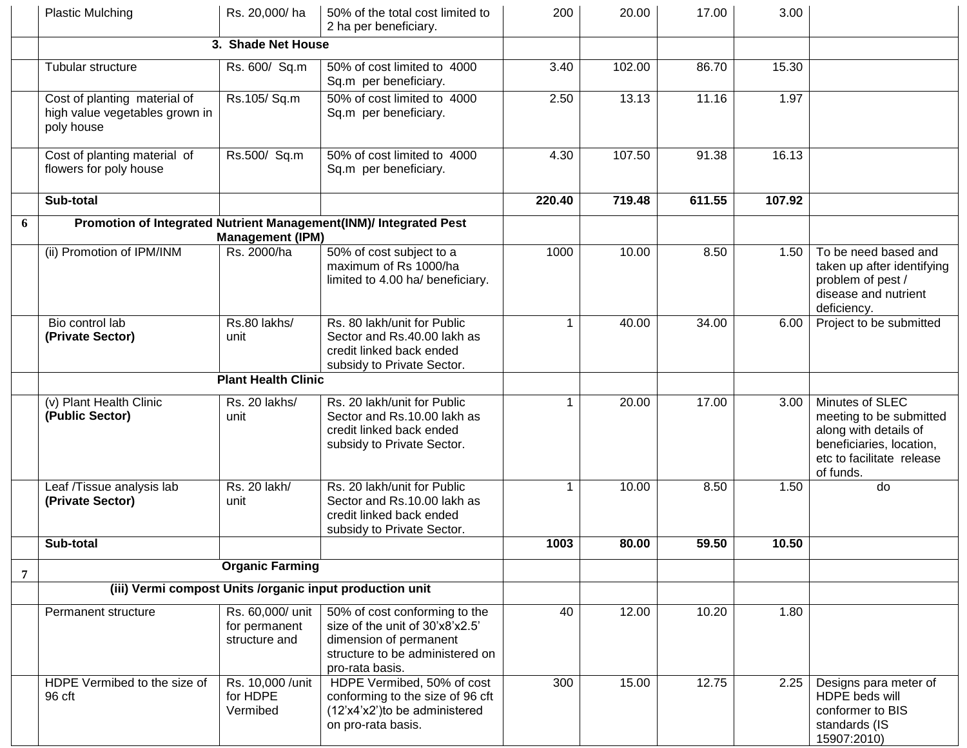|                | <b>Plastic Mulching</b>                                                      | Rs. 20,000/ha                                      | 50% of the total cost limited to<br>2 ha per beneficiary.                                                                                        | 200         | 20.00  | 17.00  | 3.00   |                                                                                                                                           |
|----------------|------------------------------------------------------------------------------|----------------------------------------------------|--------------------------------------------------------------------------------------------------------------------------------------------------|-------------|--------|--------|--------|-------------------------------------------------------------------------------------------------------------------------------------------|
|                |                                                                              | 3. Shade Net House                                 |                                                                                                                                                  |             |        |        |        |                                                                                                                                           |
|                | Tubular structure                                                            | Rs. 600/ Sq.m                                      | 50% of cost limited to 4000<br>Sq.m per beneficiary.                                                                                             | 3.40        | 102.00 | 86.70  | 15.30  |                                                                                                                                           |
|                | Cost of planting material of<br>high value vegetables grown in<br>poly house | Rs.105/Sq.m                                        | 50% of cost limited to 4000<br>Sq.m per beneficiary.                                                                                             | 2.50        | 13.13  | 11.16  | 1.97   |                                                                                                                                           |
|                | Cost of planting material of<br>flowers for poly house                       | Rs.500/ Sq.m                                       | 50% of cost limited to 4000<br>Sq.m per beneficiary.                                                                                             | 4.30        | 107.50 | 91.38  | 16.13  |                                                                                                                                           |
|                | Sub-total                                                                    |                                                    |                                                                                                                                                  | 220.40      | 719.48 | 611.55 | 107.92 |                                                                                                                                           |
| 6              |                                                                              | <b>Management (IPM)</b>                            | Promotion of Integrated Nutrient Management(INM)/ Integrated Pest                                                                                |             |        |        |        |                                                                                                                                           |
|                | (ii) Promotion of IPM/INM                                                    | Rs. 2000/ha                                        | 50% of cost subject to a<br>maximum of Rs 1000/ha<br>limited to 4.00 ha/ beneficiary.                                                            | 1000        | 10.00  | 8.50   | 1.50   | To be need based and<br>taken up after identifying<br>problem of pest /<br>disease and nutrient<br>deficiency.                            |
|                | Bio control lab<br>(Private Sector)                                          | Rs.80 lakhs/<br>unit                               | Rs. 80 lakh/unit for Public<br>Sector and Rs.40.00 lakh as<br>credit linked back ended<br>subsidy to Private Sector.                             |             | 40.00  | 34.00  | 6.00   | Project to be submitted                                                                                                                   |
|                | <b>Plant Health Clinic</b>                                                   |                                                    |                                                                                                                                                  |             |        |        |        |                                                                                                                                           |
|                | (v) Plant Health Clinic<br>(Public Sector)                                   | Rs. 20 lakhs/<br>unit                              | Rs. 20 lakh/unit for Public<br>Sector and Rs.10.00 lakh as<br>credit linked back ended<br>subsidy to Private Sector.                             | 1           | 20.00  | 17.00  | 3.00   | Minutes of SLEC<br>meeting to be submitted<br>along with details of<br>beneficiaries, location,<br>etc to facilitate release<br>of funds. |
|                | Leaf /Tissue analysis lab<br>(Private Sector)                                | Rs. 20 lakh/<br>unit                               | Rs. 20 lakh/unit for Public<br>Sector and Rs.10.00 lakh as<br>credit linked back ended<br>subsidy to Private Sector.                             | $\mathbf 1$ | 10.00  | 8.50   | 1.50   | do                                                                                                                                        |
|                | Sub-total                                                                    |                                                    |                                                                                                                                                  | 1003        | 80.00  | 59.50  | 10.50  |                                                                                                                                           |
| $\overline{7}$ |                                                                              | <b>Organic Farming</b>                             |                                                                                                                                                  |             |        |        |        |                                                                                                                                           |
|                | (iii) Vermi compost Units /organic input production unit                     |                                                    |                                                                                                                                                  |             |        |        |        |                                                                                                                                           |
|                | Permanent structure                                                          | Rs. 60,000/ unit<br>for permanent<br>structure and | 50% of cost conforming to the<br>size of the unit of 30'x8'x2.5'<br>dimension of permanent<br>structure to be administered on<br>pro-rata basis. | 40          | 12.00  | 10.20  | 1.80   |                                                                                                                                           |
|                | HDPE Vermibed to the size of<br>96 cft                                       | Rs. 10,000 / unit<br>for HDPE<br>Vermibed          | HDPE Vermibed, 50% of cost<br>conforming to the size of 96 cft<br>(12'x4'x2')to be administered<br>on pro-rata basis.                            | 300         | 15.00  | 12.75  | 2.25   | Designs para meter of<br>HDPE beds will<br>conformer to BIS<br>standards (IS<br>15907:2010)                                               |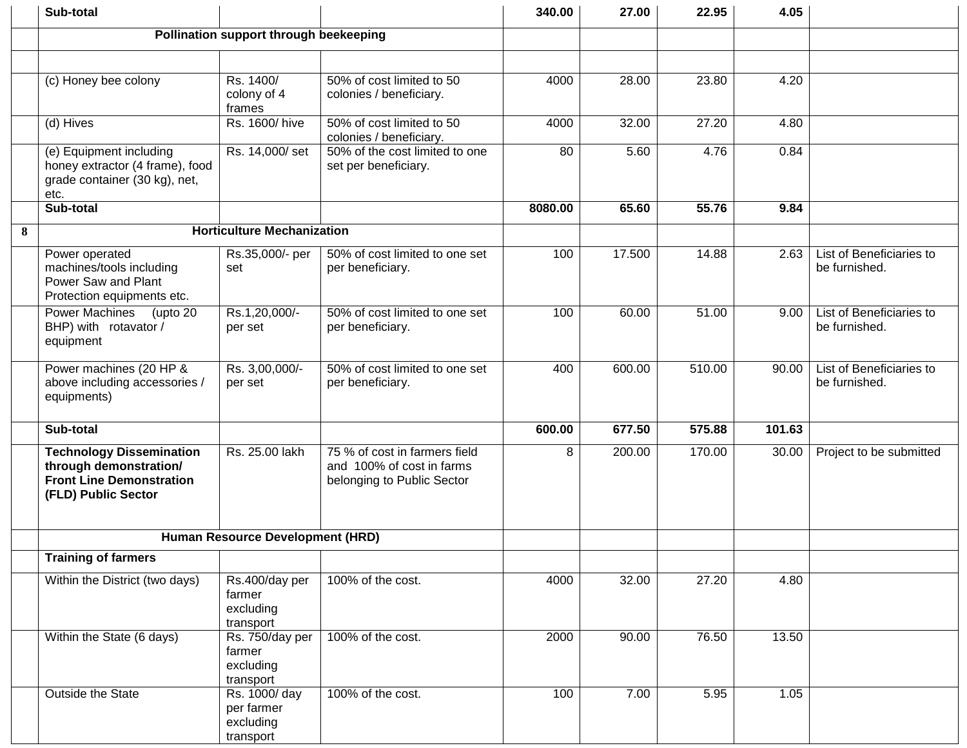|   | Sub-total                                                                                                           |                                                       |                                                                                          | 340.00  | 27.00  | 22.95  | 4.05   |                                           |
|---|---------------------------------------------------------------------------------------------------------------------|-------------------------------------------------------|------------------------------------------------------------------------------------------|---------|--------|--------|--------|-------------------------------------------|
|   |                                                                                                                     | Pollination support through beekeeping                |                                                                                          |         |        |        |        |                                           |
|   |                                                                                                                     |                                                       |                                                                                          |         |        |        |        |                                           |
|   | (c) Honey bee colony                                                                                                | Rs. 1400/<br>colony of 4<br>frames                    | 50% of cost limited to 50<br>colonies / beneficiary.                                     | 4000    | 28.00  | 23.80  | 4.20   |                                           |
|   | (d) Hives                                                                                                           | Rs. 1600/hive                                         | 50% of cost limited to 50<br>colonies / beneficiary.                                     | 4000    | 32.00  | 27.20  | 4.80   |                                           |
|   | (e) Equipment including<br>honey extractor (4 frame), food<br>grade container (30 kg), net,<br>etc.                 | Rs. 14,000/set                                        | 50% of the cost limited to one<br>set per beneficiary.                                   | 80      | 5.60   | 4.76   | 0.84   |                                           |
|   | Sub-total                                                                                                           |                                                       |                                                                                          | 8080.00 | 65.60  | 55.76  | 9.84   |                                           |
| 8 |                                                                                                                     | <b>Horticulture Mechanization</b>                     |                                                                                          |         |        |        |        |                                           |
|   | Power operated<br>machines/tools including<br>Power Saw and Plant<br>Protection equipments etc.                     | Rs.35,000/- per<br>set                                | 50% of cost limited to one set<br>per beneficiary.                                       | 100     | 17.500 | 14.88  | 2.63   | List of Beneficiaries to<br>be furnished. |
|   | <b>Power Machines</b><br>(upto 20<br>BHP) with rotavator /<br>equipment                                             | Rs.1,20,000/-<br>per set                              | 50% of cost limited to one set<br>per beneficiary.                                       | 100     | 60.00  | 51.00  | 9.00   | List of Beneficiaries to<br>be furnished. |
|   | Power machines (20 HP &<br>above including accessories /<br>equipments)                                             | Rs. 3,00,000/-<br>per set                             | 50% of cost limited to one set<br>per beneficiary.                                       | 400     | 600.00 | 510.00 | 90.00  | List of Beneficiaries to<br>be furnished. |
|   | Sub-total                                                                                                           |                                                       |                                                                                          | 600.00  | 677.50 | 575.88 | 101.63 |                                           |
|   | <b>Technology Dissemination</b><br>through demonstration/<br><b>Front Line Demonstration</b><br>(FLD) Public Sector | Rs. 25.00 lakh                                        | 75 % of cost in farmers field<br>and 100% of cost in farms<br>belonging to Public Sector | 8       | 200.00 | 170.00 | 30.00  | Project to be submitted                   |
|   |                                                                                                                     | Human Resource Development (HRD)                      |                                                                                          |         |        |        |        |                                           |
|   | <b>Training of farmers</b>                                                                                          |                                                       |                                                                                          |         |        |        |        |                                           |
|   | Within the District (two days)                                                                                      | Rs.400/day per<br>farmer<br>excluding<br>transport    | 100% of the cost.                                                                        | 4000    | 32.00  | 27.20  | 4.80   |                                           |
|   | Within the State (6 days)                                                                                           | Rs. 750/day per<br>farmer<br>excluding<br>transport   | 100% of the cost.                                                                        | 2000    | 90.00  | 76.50  | 13.50  |                                           |
|   | Outside the State                                                                                                   | Rs. 1000/ day<br>per farmer<br>excluding<br>transport | 100% of the cost.                                                                        | 100     | 7.00   | 5.95   | 1.05   |                                           |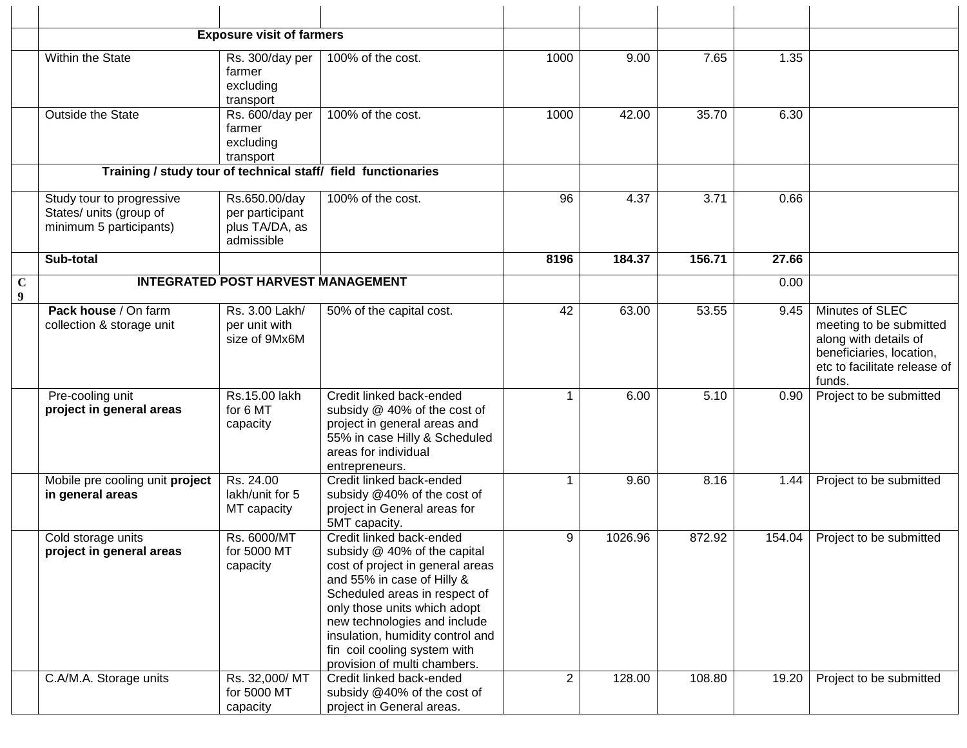|                  |                                                                                 | <b>Exposure visit of farmers</b>                                 |                                                                                                                                                                                                                                                                                                                                 |                |         |        |        |                                                                                                                                           |
|------------------|---------------------------------------------------------------------------------|------------------------------------------------------------------|---------------------------------------------------------------------------------------------------------------------------------------------------------------------------------------------------------------------------------------------------------------------------------------------------------------------------------|----------------|---------|--------|--------|-------------------------------------------------------------------------------------------------------------------------------------------|
|                  | Within the State                                                                | Rs. 300/day per<br>farmer<br>excluding<br>transport              | 100% of the cost.                                                                                                                                                                                                                                                                                                               | 1000           | 9.00    | 7.65   | 1.35   |                                                                                                                                           |
|                  | Outside the State                                                               | Rs. 600/day per<br>farmer<br>excluding<br>transport              | 100% of the cost.                                                                                                                                                                                                                                                                                                               | 1000           | 42.00   | 35.70  | 6.30   |                                                                                                                                           |
|                  |                                                                                 |                                                                  | Training / study tour of technical staff/ field functionaries                                                                                                                                                                                                                                                                   |                |         |        |        |                                                                                                                                           |
|                  | Study tour to progressive<br>States/ units (group of<br>minimum 5 participants) | Rs.650.00/day<br>per participant<br>plus TA/DA, as<br>admissible | 100% of the cost.                                                                                                                                                                                                                                                                                                               | 96             | 4.37    | 3.71   | 0.66   |                                                                                                                                           |
|                  | Sub-total                                                                       |                                                                  |                                                                                                                                                                                                                                                                                                                                 | 8196           | 184.37  | 156.71 | 27.66  |                                                                                                                                           |
| $\mathbf C$<br>9 |                                                                                 | <b>INTEGRATED POST HARVEST MANAGEMENT</b>                        |                                                                                                                                                                                                                                                                                                                                 |                |         |        | 0.00   |                                                                                                                                           |
|                  | Pack house / On farm<br>collection & storage unit                               | Rs. 3.00 Lakh/<br>per unit with<br>size of 9Mx6M                 | 50% of the capital cost.                                                                                                                                                                                                                                                                                                        | 42             | 63.00   | 53.55  | 9.45   | Minutes of SLEC<br>meeting to be submitted<br>along with details of<br>beneficiaries, location,<br>etc to facilitate release of<br>funds. |
|                  | Pre-cooling unit<br>project in general areas                                    | Rs.15.00 lakh<br>for 6 MT<br>capacity                            | Credit linked back-ended<br>subsidy @ 40% of the cost of<br>project in general areas and<br>55% in case Hilly & Scheduled<br>areas for individual<br>entrepreneurs.                                                                                                                                                             | $\mathbf 1$    | 6.00    | 5.10   | 0.90   | Project to be submitted                                                                                                                   |
|                  | Mobile pre cooling unit project<br>in general areas                             | Rs. 24.00<br>lakh/unit for 5<br>MT capacity                      | Credit linked back-ended<br>subsidy @40% of the cost of<br>project in General areas for<br>5MT capacity.                                                                                                                                                                                                                        | $\mathbf 1$    | 9.60    | 8.16   | 1.44   | Project to be submitted                                                                                                                   |
|                  | Cold storage units<br>project in general areas                                  | Rs. 6000/MT<br>for 5000 MT<br>capacity                           | Credit linked back-ended<br>subsidy @ 40% of the capital<br>cost of project in general areas<br>and 55% in case of Hilly &<br>Scheduled areas in respect of<br>only those units which adopt<br>new technologies and include<br>insulation, humidity control and<br>fin coil cooling system with<br>provision of multi chambers. | 9              | 1026.96 | 872.92 | 154.04 | Project to be submitted                                                                                                                   |
|                  | C.A/M.A. Storage units                                                          | Rs. 32,000/MT<br>for 5000 MT<br>capacity                         | Credit linked back-ended<br>subsidy @40% of the cost of<br>project in General areas.                                                                                                                                                                                                                                            | 2 <sup>1</sup> | 128.00  | 108.80 | 19.20  | Project to be submitted                                                                                                                   |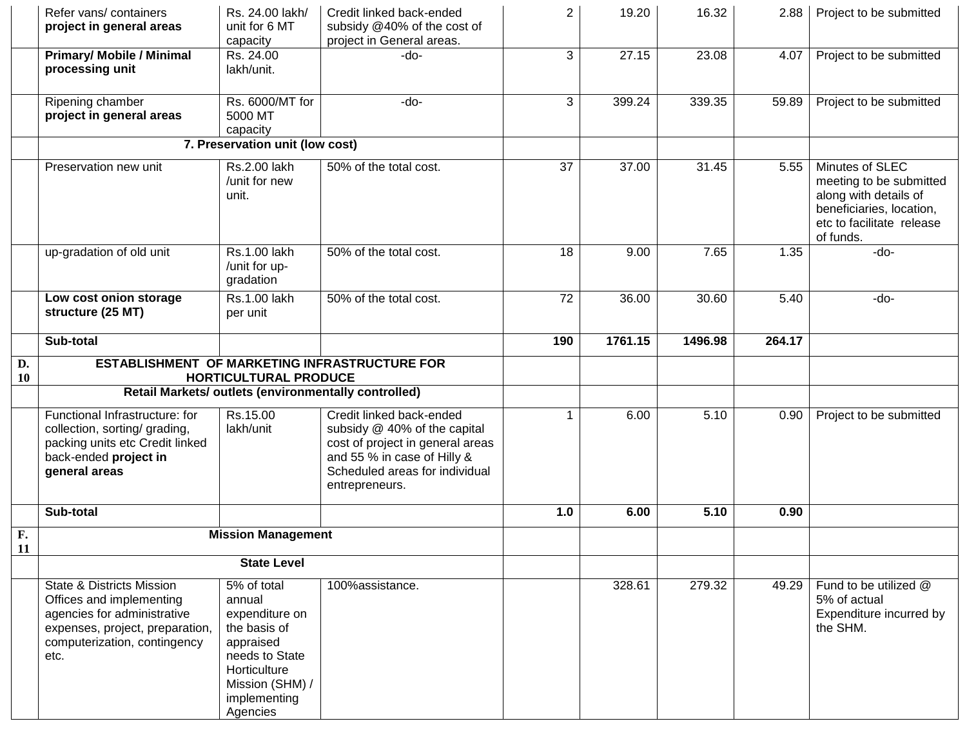|                 | Refer vans/ containers<br>project in general areas                                                                                                                         | Rs. 24.00 lakh/<br>unit for 6 MT<br>capacity                                                                                                          | Credit linked back-ended<br>subsidy @40% of the cost of<br>project in General areas.                                                                                            | $\overline{2}$ | 19.20   | 16.32   | 2.88   | Project to be submitted                                                                                                                   |
|-----------------|----------------------------------------------------------------------------------------------------------------------------------------------------------------------------|-------------------------------------------------------------------------------------------------------------------------------------------------------|---------------------------------------------------------------------------------------------------------------------------------------------------------------------------------|----------------|---------|---------|--------|-------------------------------------------------------------------------------------------------------------------------------------------|
|                 | <b>Primary/ Mobile / Minimal</b><br>processing unit                                                                                                                        | Rs. 24.00<br>lakh/unit.                                                                                                                               | -do-                                                                                                                                                                            | 3              | 27.15   | 23.08   | 4.07   | Project to be submitted                                                                                                                   |
|                 | Ripening chamber<br>project in general areas                                                                                                                               | Rs. 6000/MT for<br>5000 MT<br>capacity                                                                                                                | -do-                                                                                                                                                                            | 3              | 399.24  | 339.35  | 59.89  | Project to be submitted                                                                                                                   |
|                 |                                                                                                                                                                            | 7. Preservation unit (low cost)                                                                                                                       |                                                                                                                                                                                 |                |         |         |        |                                                                                                                                           |
|                 | Preservation new unit                                                                                                                                                      | Rs.2.00 lakh<br>/unit for new<br>unit.                                                                                                                | 50% of the total cost.                                                                                                                                                          | 37             | 37.00   | 31.45   | 5.55   | Minutes of SLEC<br>meeting to be submitted<br>along with details of<br>beneficiaries, location,<br>etc to facilitate release<br>of funds. |
|                 | up-gradation of old unit                                                                                                                                                   | Rs.1.00 lakh<br>/unit for up-<br>gradation                                                                                                            | 50% of the total cost.                                                                                                                                                          | 18             | 9.00    | 7.65    | 1.35   | -do-                                                                                                                                      |
|                 | Low cost onion storage<br>structure (25 MT)                                                                                                                                | Rs.1.00 lakh<br>per unit                                                                                                                              | 50% of the total cost.                                                                                                                                                          | 72             | 36.00   | 30.60   | 5.40   | $-do-$                                                                                                                                    |
|                 | Sub-total                                                                                                                                                                  |                                                                                                                                                       |                                                                                                                                                                                 | 190            | 1761.15 | 1496.98 | 264.17 |                                                                                                                                           |
| D.<br><b>10</b> |                                                                                                                                                                            | HORTICULTURAL PRODUCE                                                                                                                                 | ESTABLISHMENT OF MARKETING INFRASTRUCTURE FOR                                                                                                                                   |                |         |         |        |                                                                                                                                           |
|                 |                                                                                                                                                                            |                                                                                                                                                       | Retail Markets/ outlets (environmentally controlled)                                                                                                                            |                |         |         |        |                                                                                                                                           |
|                 | Functional Infrastructure: for<br>collection, sorting/ grading,<br>packing units etc Credit linked<br>back-ended project in<br>general areas                               | Rs.15.00<br>lakh/unit                                                                                                                                 | Credit linked back-ended<br>subsidy @ 40% of the capital<br>cost of project in general areas<br>and 55 % in case of Hilly &<br>Scheduled areas for individual<br>entrepreneurs. |                | 6.00    | 5.10    | 0.90   | Project to be submitted                                                                                                                   |
|                 | Sub-total                                                                                                                                                                  |                                                                                                                                                       |                                                                                                                                                                                 | 1.0            | 6.00    | 5.10    | 0.90   |                                                                                                                                           |
| F.<br>11        |                                                                                                                                                                            | <b>Mission Management</b>                                                                                                                             |                                                                                                                                                                                 |                |         |         |        |                                                                                                                                           |
|                 | <b>State Level</b>                                                                                                                                                         |                                                                                                                                                       |                                                                                                                                                                                 |                |         |         |        |                                                                                                                                           |
|                 | <b>State &amp; Districts Mission</b><br>Offices and implementing<br>agencies for administrative<br>expenses, project, preparation,<br>computerization, contingency<br>etc. | 5% of total<br>annual<br>expenditure on<br>the basis of<br>appraised<br>needs to State<br>Horticulture<br>Mission (SHM) /<br>implementing<br>Agencies | 100%assistance.                                                                                                                                                                 |                | 328.61  | 279.32  | 49.29  | Fund to be utilized @<br>5% of actual<br>Expenditure incurred by<br>the SHM.                                                              |